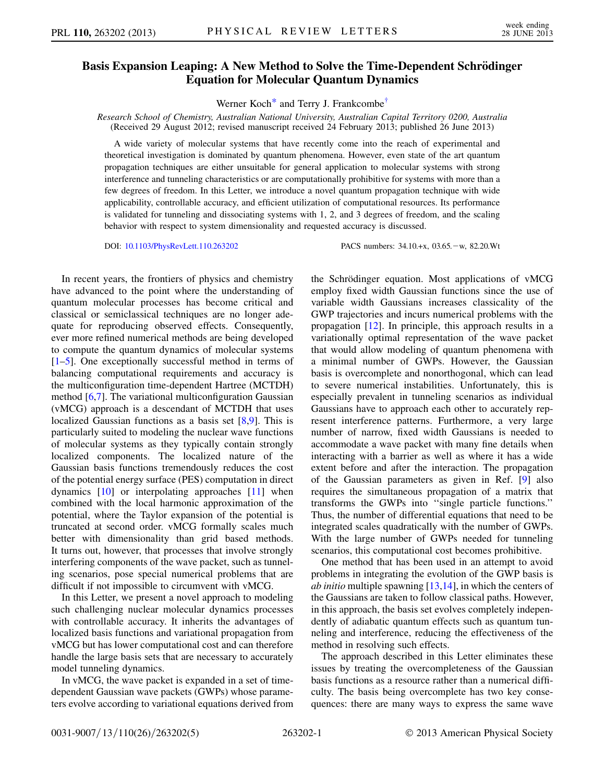## <span id="page-0-0"></span>Basis Expansion Leaping: A New Method to Solve the Time-Dependent Schrödinger Equation for Molecular Quantum Dynamics

Werner Koch<sup>\*</sup> and Terry J. Frankcombe<sup>[†](#page-4-1)</sup>

Research School of Chemistry, Australian National University, Australian Capital Territory 0200, Australia (Received 29 August 2012; revised manuscript received 24 February 2013; published 26 June 2013)

A wide variety of molecular systems that have recently come into the reach of experimental and theoretical investigation is dominated by quantum phenomena. However, even state of the art quantum propagation techniques are either unsuitable for general application to molecular systems with strong interference and tunneling characteristics or are computationally prohibitive for systems with more than a few degrees of freedom. In this Letter, we introduce a novel quantum propagation technique with wide applicability, controllable accuracy, and efficient utilization of computational resources. Its performance is validated for tunneling and dissociating systems with 1, 2, and 3 degrees of freedom, and the scaling behavior with respect to system dimensionality and requested accuracy is discussed.

DOI: [10.1103/PhysRevLett.110.263202](http://dx.doi.org/10.1103/PhysRevLett.110.263202) PACS numbers: 34.10+x, 03.65. w, 82.20.Wt

In recent years, the frontiers of physics and chemistry have advanced to the point where the understanding of quantum molecular processes has become critical and classical or semiclassical techniques are no longer adequate for reproducing observed effects. Consequently, ever more refined numerical methods are being developed to compute the quantum dynamics of molecular systems [\[1–](#page-4-2)[5](#page-4-3)]. One exceptionally successful method in terms of balancing computational requirements and accuracy is the multiconfiguration time-dependent Hartree (MCTDH) method [[6,](#page-4-4)[7\]](#page-4-5). The variational multiconfiguration Gaussian (vMCG) approach is a descendant of MCTDH that uses localized Gaussian functions as a basis set [\[8,](#page-4-6)[9](#page-4-7)]. This is particularly suited to modeling the nuclear wave functions of molecular systems as they typically contain strongly localized components. The localized nature of the Gaussian basis functions tremendously reduces the cost of the potential energy surface (PES) computation in direct dynamics [[10](#page-4-8)] or interpolating approaches [\[11\]](#page-4-9) when combined with the local harmonic approximation of the potential, where the Taylor expansion of the potential is truncated at second order. vMCG formally scales much better with dimensionality than grid based methods. It turns out, however, that processes that involve strongly interfering components of the wave packet, such as tunneling scenarios, pose special numerical problems that are difficult if not impossible to circumvent with vMCG.

In this Letter, we present a novel approach to modeling such challenging nuclear molecular dynamics processes with controllable accuracy. It inherits the advantages of localized basis functions and variational propagation from vMCG but has lower computational cost and can therefore handle the large basis sets that are necessary to accurately model tunneling dynamics.

In vMCG, the wave packet is expanded in a set of timedependent Gaussian wave packets (GWPs) whose parameters evolve according to variational equations derived from the Schrödinger equation. Most applications of vMCG employ fixed width Gaussian functions since the use of variable width Gaussians increases classicality of the GWP trajectories and incurs numerical problems with the propagation [[12](#page-4-10)]. In principle, this approach results in a variationally optimal representation of the wave packet that would allow modeling of quantum phenomena with a minimal number of GWPs. However, the Gaussian basis is overcomplete and nonorthogonal, which can lead to severe numerical instabilities. Unfortunately, this is especially prevalent in tunneling scenarios as individual Gaussians have to approach each other to accurately represent interference patterns. Furthermore, a very large number of narrow, fixed width Gaussians is needed to accommodate a wave packet with many fine details when interacting with a barrier as well as where it has a wide extent before and after the interaction. The propagation of the Gaussian parameters as given in Ref. [[9\]](#page-4-7) also requires the simultaneous propagation of a matrix that transforms the GWPs into ''single particle functions.'' Thus, the number of differential equations that need to be integrated scales quadratically with the number of GWPs. With the large number of GWPs needed for tunneling scenarios, this computational cost becomes prohibitive.

One method that has been used in an attempt to avoid problems in integrating the evolution of the GWP basis is *ab initio* multiple spawning  $[13,14]$  $[13,14]$  $[13,14]$  $[13,14]$  $[13,14]$ , in which the centers of the Gaussians are taken to follow classical paths. However, in this approach, the basis set evolves completely independently of adiabatic quantum effects such as quantum tunneling and interference, reducing the effectiveness of the method in resolving such effects.

The approach described in this Letter eliminates these issues by treating the overcompleteness of the Gaussian basis functions as a resource rather than a numerical difficulty. The basis being overcomplete has two key consequences: there are many ways to express the same wave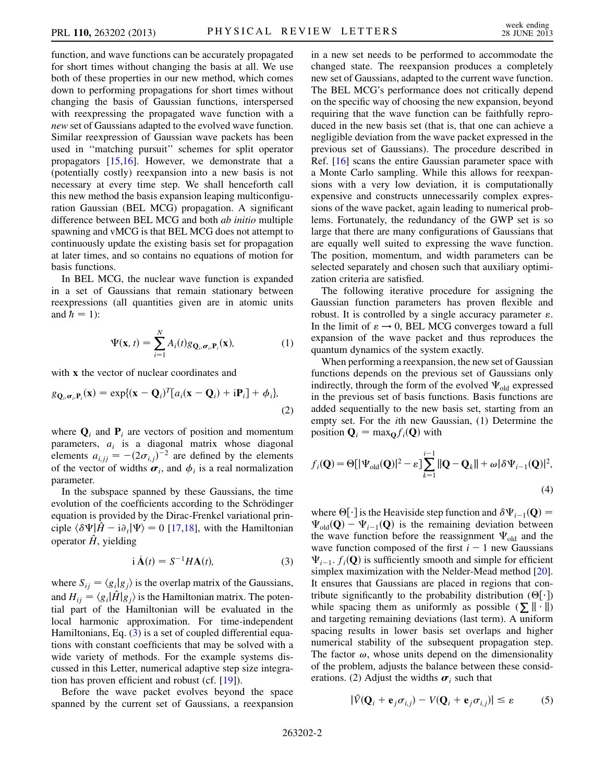function, and wave functions can be accurately propagated for short times without changing the basis at all. We use both of these properties in our new method, which comes down to performing propagations for short times without changing the basis of Gaussian functions, interspersed with reexpressing the propagated wave function with a new set of Gaussians adapted to the evolved wave function. Similar reexpression of Gaussian wave packets has been used in ''matching pursuit'' schemes for split operator propagators [\[15](#page-4-13)[,16\]](#page-4-14). However, we demonstrate that a (potentially costly) reexpansion into a new basis is not necessary at every time step. We shall henceforth call this new method the basis expansion leaping multiconfiguration Gaussian (BEL MCG) propagation. A significant difference between BEL MCG and both ab initio multiple spawning and vMCG is that BEL MCG does not attempt to continuously update the existing basis set for propagation at later times, and so contains no equations of motion for basis functions.

<span id="page-1-2"></span>In BEL MCG, the nuclear wave function is expanded in a set of Gaussians that remain stationary between reexpressions (all quantities given are in atomic units and  $\hbar = 1$ :

$$
\Psi(\mathbf{x}, t) = \sum_{i=1}^{N} A_i(t) g_{\mathbf{Q}_i, \sigma_i, \mathbf{P}_i}(\mathbf{x}),
$$
\n(1)

<span id="page-1-3"></span>with **x** the vector of nuclear coordinates and

$$
g_{\mathbf{Q}_i,\mathbf{\sigma}_i,\mathbf{P}_i}(\mathbf{x}) = \exp\{(\mathbf{x}-\mathbf{Q}_i)^T[a_i(\mathbf{x}-\mathbf{Q}_i)+i\mathbf{P}_i] + \phi_i\},\tag{2}
$$

where  $\mathbf{Q}_i$  and  $\mathbf{P}_i$  are vectors of position and momentum parameters,  $a_i$  is a diagonal matrix whose diagonal<br>elements  $a_{i+1} = -(2a_{i+1})^{-2}$  are defined by the elements elements  $a_{i,jj} = -(2\sigma_{i,j})^{-2}$  are defined by the elements of the vector of widths  $\sigma_i$ , and  $\phi_i$  is a real normalization parameter parameter.

In the subspace spanned by these Gaussians, the time evolution of the coefficients according to the Schrödinger equation is provided by the Dirac-Frenkel variational principle  $\langle \delta \Psi | \hat{H} - i \partial_t | \Psi \rangle = 0$  [\[17,](#page-4-15)[18\]](#page-4-16), with the Hamiltonian operator  $\hat{H}$ , yielding

$$
\dot{\mathbf{A}}(t) = S^{-1} H \mathbf{A}(t), \tag{3}
$$

<span id="page-1-0"></span>where  $S_{ij} = \langle g_i | g_j \rangle$  is the overlap matrix of the Gaussians, and  $H_{ii} = \langle g_i | \hat{H} | g_i \rangle$  is the Hamiltonian matrix. The potential part of the Hamiltonian will be evaluated in the local harmonic approximation. For time-independent Hamiltonians, Eq.  $(3)$  $(3)$  is a set of coupled differential equations with constant coefficients that may be solved with a wide variety of methods. For the example systems discussed in this Letter, numerical adaptive step size integration has proven efficient and robust (cf. [[19](#page-4-17)]).

Before the wave packet evolves beyond the space spanned by the current set of Gaussians, a reexpansion in a new set needs to be performed to accommodate the changed state. The reexpansion produces a completely new set of Gaussians, adapted to the current wave function. The BEL MCG's performance does not critically depend on the specific way of choosing the new expansion, beyond requiring that the wave function can be faithfully reproduced in the new basis set (that is, that one can achieve a negligible deviation from the wave packet expressed in the previous set of Gaussians). The procedure described in Ref. [[16](#page-4-14)] scans the entire Gaussian parameter space with a Monte Carlo sampling. While this allows for reexpansions with a very low deviation, it is computationally expensive and constructs unnecessarily complex expressions of the wave packet, again leading to numerical problems. Fortunately, the redundancy of the GWP set is so large that there are many configurations of Gaussians that are equally well suited to expressing the wave function. The position, momentum, and width parameters can be selected separately and chosen such that auxiliary optimization criteria are satisfied.

The following iterative procedure for assigning the Gaussian function parameters has proven flexible and robust. It is controlled by a single accuracy parameter  $\varepsilon$ . In the limit of  $\varepsilon \to 0$ , BEL MCG converges toward a full expansion of the wave packet and thus reproduces the quantum dynamics of the system exactly.

When performing a reexpansion, the new set of Gaussian functions depends on the previous set of Gaussians only indirectly, through the form of the evolved  $\Psi_{old}$  expressed in the previous set of basis functions. Basis functions are added sequentially to the new basis set, starting from an empty set. For the ith new Gaussian, (1) Determine the position  $\mathbf{Q}_i = \max_{\mathbf{Q}} f_i(\mathbf{Q})$  with

$$
f_i(\mathbf{Q}) = \Theta[|\Psi_{old}(\mathbf{Q})|^2 - \varepsilon] \sum_{k=1}^{i-1} ||\mathbf{Q} - \mathbf{Q}_k|| + \omega |\delta \Psi_{i-1}(\mathbf{Q})|^2,
$$
\n(4)

where  $\Theta[\cdot]$  is the Heaviside step function and  $\delta \Psi_{i-1}(\mathbf{Q}) = \Psi_{i-1}(\mathbf{Q}) - \Psi_{i-1}(\mathbf{Q})$  is the remaining deviation between  $\Psi_{old}(Q) - \Psi_{i-1}(Q)$  is the remaining deviation between<br>the wave function before the reassignment  $\Psi_{i,j}$  and the the wave function before the reassignment  $\Psi_{old}$  and the wave function composed of the first  $i - 1$  new Gaussians  $\Psi_{i-1}$ ,  $f_i(\mathbf{Q})$  is sufficiently smooth and simple for efficient<br>simplex maximization with the Nelder-Mead method [20] simplex maximization with the Nelder-Mead method [[20\]](#page-4-18). It ensures that Gaussians are placed in regions that contribute significantly to the probability distribution  $(\Theta[\cdot])$ while spacing them as uniformly as possible  $(\sum || \cdot ||)$ <br>and targeting remaining deviations (last term). A uniform and targeting remaining deviations (last term). A uniform spacing results in lower basis set overlaps and higher numerical stability of the subsequent propagation step. The factor  $\omega$ , whose units depend on the dimensionality of the problem, adjusts the balance between these considerations. (2) Adjust the widths  $\sigma_i$  such that

<span id="page-1-1"></span>
$$
|\tilde{V}(\mathbf{Q}_i + \mathbf{e}_j \sigma_{i,j}) - V(\mathbf{Q}_i + \mathbf{e}_j \sigma_{i,j})| \leq \varepsilon
$$
 (5)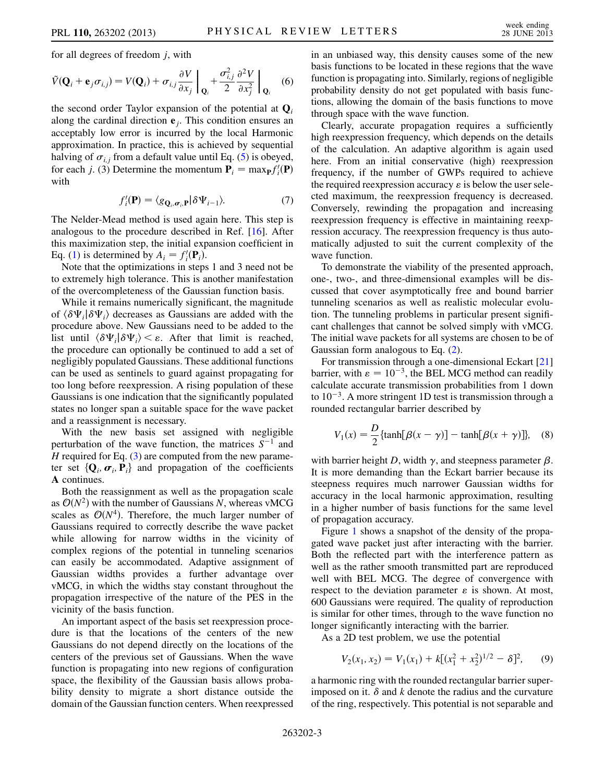for all degrees of freedom j, with

$$
\tilde{V}(\mathbf{Q}_i + \mathbf{e}_j \sigma_{i,j}) = V(\mathbf{Q}_i) + \sigma_{i,j} \frac{\partial V}{\partial x_j} \bigg|_{\mathbf{Q}_i} + \frac{\sigma_{i,j}^2}{2} \frac{\partial^2 V}{\partial x_j^2} \bigg|_{\mathbf{Q}_i}
$$
 (6)

the second order Taylor expansion of the potential at  $\mathbf{Q}_i$ along the cardinal direction  $e_i$ . This condition ensures an acceptably low error is incurred by the local Harmonic approximation. In practice, this is achieved by sequential halving of  $\sigma_{i,j}$  from a default value until Eq. ([5\)](#page-1-1) is obeyed,<br>for each  $i$ , (3) Determine the momentum  $\mathbf{P}_i = \max_i f'(\mathbf{P})$ for each j. (3) Determine the momentum  $\mathbf{P}_i = \max_{\mathbf{P}} f'_i(\mathbf{P})$  with with

$$
f'_{i}(\mathbf{P}) = \langle g_{\mathbf{Q}_{i}, \mathbf{\sigma}_{i}, \mathbf{P}} | \delta \Psi_{i-1} \rangle.
$$
 (7)

The Nelder-Mead method is used again here. This step is analogous to the procedure described in Ref. [\[16\]](#page-4-14). After this maximization step, the initial expansion coefficient in Eq. ([1\)](#page-1-2) is determined by  $A_i = f'_i(\mathbf{P}_i)$ .<br>Note that the optimizations in steps

Note that the optimizations in steps 1 and 3 need not be to extremely high tolerance. This is another manifestation of the overcompleteness of the Gaussian function basis.

While it remains numerically significant, the magnitude of  $\langle \delta \Psi_i | \delta \Psi_i \rangle$  decreases as Gaussians are added with the procedure above. New Gaussians need to be added to the list until  $\langle \delta \Psi_i | \delta \Psi_i \rangle \leq \varepsilon$ . After that limit is reached, the procedure can optionally be continued to add a set of negligibly populated Gaussians. These additional functions can be used as sentinels to guard against propagating for too long before reexpression. A rising population of these Gaussians is one indication that the significantly populated states no longer span a suitable space for the wave packet and a reassignment is necessary.

With the new basis set assigned with negligible perturbation of the wave function, the matrices  $S^{-1}$  and H required for Eq.  $(3)$  $(3)$  $(3)$  are computed from the new parameter set  $\{Q_i, \sigma_i, P_i\}$  and propagation of the coefficients A continues.

Both the reassignment as well as the propagation scale as  $\mathcal{O}(N^2)$  with the number of Gaussians N, whereas vMCG scales as  $\mathcal{O}(N^4)$ . Therefore, the much larger number of Gaussians required to correctly describe the wave packet while allowing for narrow widths in the vicinity of complex regions of the potential in tunneling scenarios can easily be accommodated. Adaptive assignment of Gaussian widths provides a further advantage over vMCG, in which the widths stay constant throughout the propagation irrespective of the nature of the PES in the vicinity of the basis function.

An important aspect of the basis set reexpression procedure is that the locations of the centers of the new Gaussians do not depend directly on the locations of the centers of the previous set of Gaussians. When the wave function is propagating into new regions of configuration space, the flexibility of the Gaussian basis allows probability density to migrate a short distance outside the domain of the Gaussian function centers. When reexpressed in an unbiased way, this density causes some of the new basis functions to be located in these regions that the wave function is propagating into. Similarly, regions of negligible probability density do not get populated with basis functions, allowing the domain of the basis functions to move through space with the wave function.

Clearly, accurate propagation requires a sufficiently high reexpression frequency, which depends on the details of the calculation. An adaptive algorithm is again used here. From an initial conservative (high) reexpression frequency, if the number of GWPs required to achieve the required reexpression accuracy  $\varepsilon$  is below the user selected maximum, the reexpression frequency is decreased. Conversely, rewinding the propagation and increasing reexpression frequency is effective in maintaining reexpression accuracy. The reexpression frequency is thus automatically adjusted to suit the current complexity of the wave function.

To demonstrate the viability of the presented approach, one-, two-, and three-dimensional examples will be discussed that cover asymptotically free and bound barrier tunneling scenarios as well as realistic molecular evolution. The tunneling problems in particular present significant challenges that cannot be solved simply with vMCG. The initial wave packets for all systems are chosen to be of Gaussian form analogous to Eq. [\(2](#page-1-3)).

For transmission through a one-dimensional Eckart [\[21\]](#page-4-19) barrier, with  $\varepsilon = 10^{-3}$ , the BEL MCG method can readily calculate accurate transmission probabilities from 1 down to  $10^{-3}$ . A more stringent 1D test is transmission through a rounded rectangular barrier described by

$$
V_1(x) = \frac{D}{2} \{\tanh[\beta(x - \gamma)] - \tanh[\beta(x + \gamma)]\}, \quad (8)
$$

with barrier height D, width  $\gamma$ , and steepness parameter  $\beta$ . It is more demanding than the Eckart barrier because its steepness requires much narrower Gaussian widths for accuracy in the local harmonic approximation, resulting in a higher number of basis functions for the same level of propagation accuracy.

Figure [1](#page-3-0) shows a snapshot of the density of the propagated wave packet just after interacting with the barrier. Both the reflected part with the interference pattern as well as the rather smooth transmitted part are reproduced well with BEL MCG. The degree of convergence with respect to the deviation parameter  $\varepsilon$  is shown. At most, 600 Gaussians were required. The quality of reproduction is similar for other times, through to the wave function no longer significantly interacting with the barrier.

As a 2D test problem, we use the potential

$$
V_2(x_1, x_2) = V_1(x_1) + k[(x_1^2 + x_2^2)^{1/2} - \delta]^2, \qquad (9)
$$

a harmonic ring with the rounded rectangular barrier superimposed on it.  $\delta$  and k denote the radius and the curvature of the ring, respectively. This potential is not separable and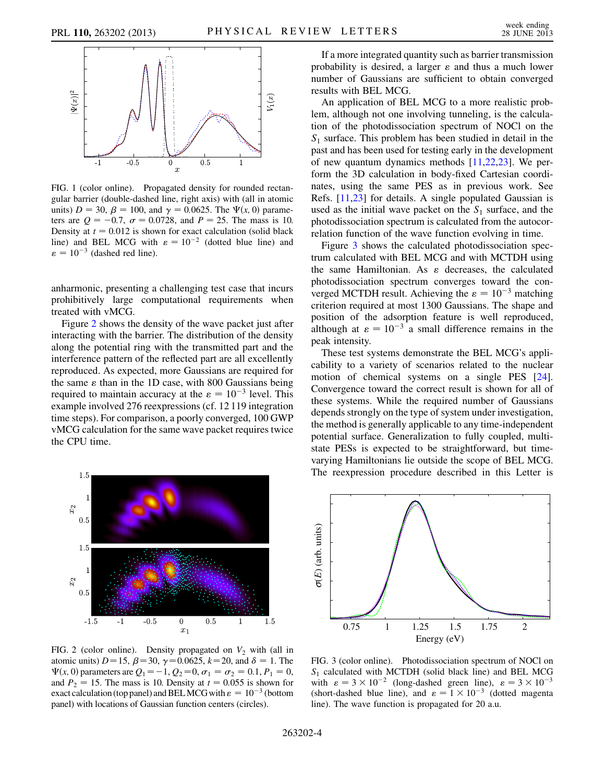<span id="page-3-0"></span>

FIG. 1 (color online). Propagated density for rounded rectangular barrier (double-dashed line, right axis) with (all in atomic units)  $D = 30$ ,  $\beta = 100$ , and  $\gamma = 0.0625$ . The  $\Psi(x, 0)$  parameters are  $Q = -0.7$ ,  $\sigma = 0.0728$ , and  $P = 25$ . The mass is 10.<br>Density at  $t = 0.012$  is shown for exact calculation (solid black Density at  $t = 0.012$  is shown for exact calculation (solid black line) and BEL MCG with  $\varepsilon = 10^{-2}$  (dotted blue line) and  $\epsilon = 10^{-3}$  (dashed red line).

anharmonic, presenting a challenging test case that incurs prohibitively large computational requirements when treated with vMCG.

Figure [2](#page-3-1) shows the density of the wave packet just after interacting with the barrier. The distribution of the density along the potential ring with the transmitted part and the interference pattern of the reflected part are all excellently reproduced. As expected, more Gaussians are required for the same  $\varepsilon$  than in the 1D case, with 800 Gaussians being required to maintain accuracy at the  $\varepsilon = 10^{-3}$  level. This example involved 276 reexpressions (cf. 12 119 integration time steps). For comparison, a poorly converged, 100 GWP vMCG calculation for the same wave packet requires twice the CPU time.

<span id="page-3-1"></span>

FIG. 2 (color online). Density propagated on  $V_2$  with (all in atomic units)  $D = 15$ ,  $\beta = 30$ ,  $\gamma = 0.0625$ ,  $k = 20$ , and  $\delta = 1$ . The  $\Psi(x, 0)$  parameters are  $Q_1 = -1$ ,  $Q_2 = 0$ ,  $\sigma_1 = \sigma_2 = 0.1$ ,  $P_1 = 0$ , and  $P_2 = 15$ . The mass is 10. Density at  $t = 0.055$  is shown for and  $P_2 = 15$ . The mass is 10. Density at  $t = 0.055$  is shown for exact calculation (top panel) and BELMCG with  $\varepsilon = 10^{-3}$  (bottom panel) with locations of Gaussian function centers (circles).

If a more integrated quantity such as barrier transmission probability is desired, a larger  $\varepsilon$  and thus a much lower number of Gaussians are sufficient to obtain converged results with BEL MCG.

An application of BEL MCG to a more realistic problem, although not one involving tunneling, is the calculation of the photodissociation spectrum of NOCl on the  $S_1$  surface. This problem has been studied in detail in the past and has been used for testing early in the development of new quantum dynamics methods  $[11,22,23]$  $[11,22,23]$  $[11,22,23]$ . We perform the 3D calculation in body-fixed Cartesian coordinates, using the same PES as in previous work. See Refs. [\[11,](#page-4-9)[23\]](#page-4-21) for details. A single populated Gaussian is used as the initial wave packet on the  $S_1$  surface, and the photodissociation spectrum is calculated from the autocorrelation function of the wave function evolving in time.

Figure [3](#page-3-2) shows the calculated photodissociation spectrum calculated with BEL MCG and with MCTDH using the same Hamiltonian. As  $\varepsilon$  decreases, the calculated photodissociation spectrum converges toward the converged MCTDH result. Achieving the  $\varepsilon = 10^{-3}$  matching criterion required at most 1300 Gaussians. The shape and position of the adsorption feature is well reproduced, although at  $\varepsilon = 10^{-3}$  a small difference remains in the peak intensity.

These test systems demonstrate the BEL MCG's applicability to a variety of scenarios related to the nuclear motion of chemical systems on a single PES [[24\]](#page-4-22). Convergence toward the correct result is shown for all of these systems. While the required number of Gaussians depends strongly on the type of system under investigation, the method is generally applicable to any time-independent potential surface. Generalization to fully coupled, multistate PESs is expected to be straightforward, but timevarying Hamiltonians lie outside the scope of BEL MCG. The reexpression procedure described in this Letter is

<span id="page-3-2"></span>

FIG. 3 (color online). Photodissociation spectrum of NOCl on  $S_1$  calculated with MCTDH (solid black line) and BEL MCG with  $\varepsilon = 3 \times 10^{-2}$  (long-dashed green line),  $\varepsilon = 3 \times 10^{-3}$ (short-dashed blue line), and  $\varepsilon = 1 \times 10^{-3}$  (dotted magenta line). The wave function is propagated for 20 a.u.